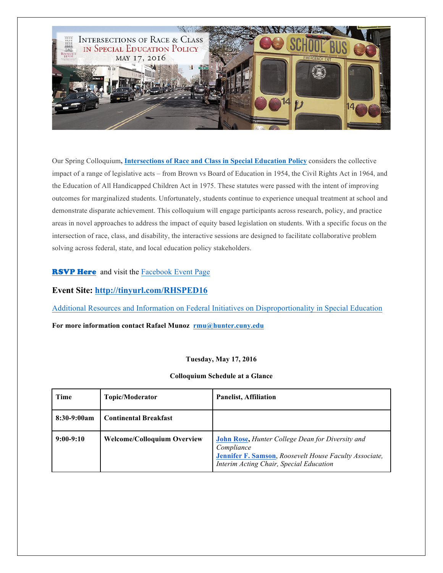

Our Spring Colloquium**, Intersections of Race and Class in Special Education Policy** considers the collective impact of a range of legislative acts – from Brown vs Board of Education in 1954, the Civil Rights Act in 1964, and the Education of All Handicapped Children Act in 1975. These statutes were passed with the intent of improving outcomes for marginalized students. Unfortunately, students continue to experience unequal treatment at school and demonstrate disparate achievement. This colloquium will engage participants across research, policy, and practice areas in novel approaches to address the impact of equity based legislation on students. With a specific focus on the intersection of race, class, and disability, the interactive sessions are designed to facilitate collaborative problem solving across federal, state, and local education policy stakeholders.

## **RSVP Here** and visit the Facebook Event Page

## **Event Site: http://tinyurl.com/RHSPED16**

Additional Resources and Information on Federal Initiatives on Disproportionality in Special Education

**For more information contact Rafael Munoz rmu@hunter.cuny.edu**

## **Tuesday, May 17, 2016**

**Colloquium Schedule at a Glance**

| <b>Time</b>   | Topic/Moderator                    | <b>Panelist, Affiliation</b>                                                                                                                                               |
|---------------|------------------------------------|----------------------------------------------------------------------------------------------------------------------------------------------------------------------------|
| $8:30-9:00am$ | <b>Continental Breakfast</b>       |                                                                                                                                                                            |
| $9:00-9:10$   | <b>Welcome/Colloquium Overview</b> | <b>John Rose, Hunter College Dean for Diversity and</b><br>Compliance<br>Jennifer F. Samson, Roosevelt House Faculty Associate,<br>Interim Acting Chair, Special Education |